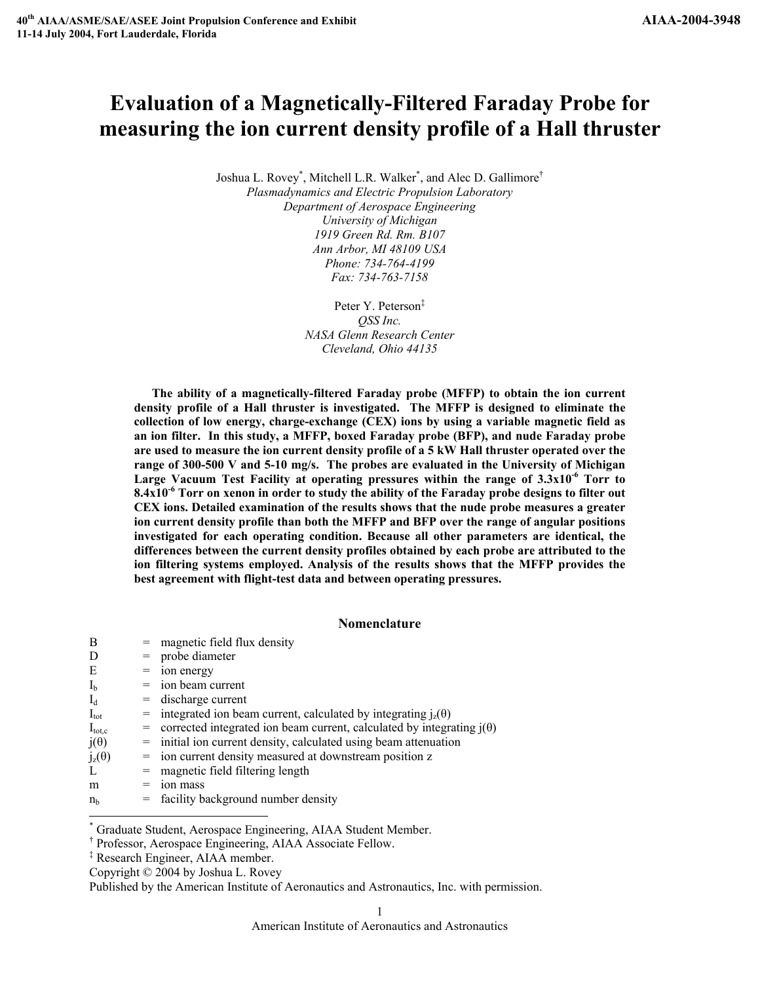# **Evaluation of a Magnetically-Filtered Faraday Probe for measuring the ion current density profile of a Hall thruster**

Joshua L. Rovey\* , Mitchell L.R. Walker\* , and Alec D. Gallimore†

*Plasmadynamics and Electric Propulsion Laboratory Department of Aerospace Engineering University of Michigan 1919 Green Rd. Rm. B107 Ann Arbor, MI 48109 USA Phone: 734-764-4199 Fax: 734-763-7158* 

> Peter Y. Peterson‡ *QSS Inc. NASA Glenn Research Center Cleveland, Ohio 44135*

**The ability of a magnetically-filtered Faraday probe (MFFP) to obtain the ion current density profile of a Hall thruster is investigated. The MFFP is designed to eliminate the collection of low energy, charge-exchange (CEX) ions by using a variable magnetic field as an ion filter. In this study, a MFFP, boxed Faraday probe (BFP), and nude Faraday probe are used to measure the ion current density profile of a 5 kW Hall thruster operated over the range of 300-500 V and 5-10 mg/s. The probes are evaluated in the University of Michigan**  Large Vacuum Test Facility at operating pressures within the range of 3.3x10<sup>-6</sup> Torr to **8.4x10-6 Torr on xenon in order to study the ability of the Faraday probe designs to filter out CEX ions. Detailed examination of the results shows that the nude probe measures a greater ion current density profile than both the MFFP and BFP over the range of angular positions investigated for each operating condition. Because all other parameters are identical, the differences between the current density profiles obtained by each probe are attributed to the ion filtering systems employed. Analysis of the results shows that the MFFP provides the best agreement with flight-test data and between operating pressures.** 

# **Nomenclature**

| B                  |     | magnetic field flux density                                                  |
|--------------------|-----|------------------------------------------------------------------------------|
| D                  |     | probe diameter                                                               |
| Е                  |     | ion energy                                                                   |
| $I_{b}$            |     | $=$ ion beam current                                                         |
| $I_d$              |     | $=$ discharge current                                                        |
| $I_{\text{tot}}$   | $=$ | integrated ion beam current, calculated by integrating $j_z(\theta)$         |
| $I_{\text{tot},c}$ | $=$ | corrected integrated ion beam current, calculated by integrating $j(\theta)$ |
| $j(\theta)$        | $=$ | initial ion current density, calculated using beam attenuation               |
| $j_z(\theta)$      | $=$ | ion current density measured at downstream position z                        |
| L                  | $=$ | magnetic field filtering length                                              |
| m                  | $=$ | ion mass                                                                     |
| n <sub>b</sub>     | $=$ | facility background number density                                           |

\* Graduate Student, Aerospace Engineering, AIAA Student Member.

-

Published by the American Institute of Aeronautics and Astronautics, Inc. with permission.

<sup>†</sup> Professor, Aerospace Engineering, AIAA Associate Fellow.

<sup>‡</sup> Research Engineer, AIAA member.

Copyright © 2004 by Joshua L. Rovey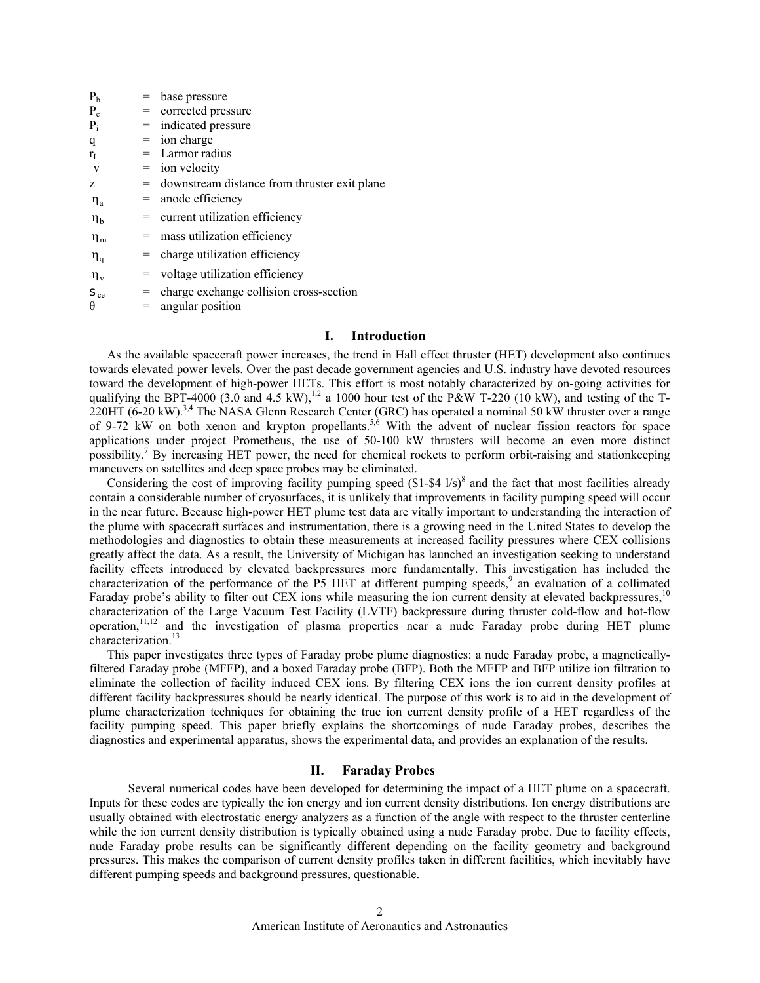| P <sub>b</sub> |     | base pressure                                    |
|----------------|-----|--------------------------------------------------|
| $P_c$          |     | = corrected pressure                             |
| $P_i$          |     | $=$ indicated pressure                           |
| q              |     | $=$ ion charge                                   |
| $r_{L}$        |     | $=$ Larmor radius                                |
| V              |     | $=$ ion velocity                                 |
| z              |     | $=$ downstream distance from thruster exit plane |
| $\eta_a$       |     | $=$ anode efficiency                             |
| $\eta_{\,b}$   |     | $=$ current utilization efficiency               |
| $\eta_{\rm m}$ | $=$ | mass utilization efficiency                      |
| $\eta_q$       |     | $=$ charge utilization efficiency                |
| $\eta_{\rm v}$ |     | $=$ voltage utilization efficiency               |
| $S_{ce}$       |     | = charge exchange collision cross-section        |
| θ              | $=$ | angular position                                 |

## **I. Introduction**

As the available spacecraft power increases, the trend in Hall effect thruster (HET) development also continues towards elevated power levels. Over the past decade government agencies and U.S. industry have devoted resources toward the development of high-power HETs. This effort is most notably characterized by on-going activities for qualifying the BPT-4000 (3.0 and 4.5 kW),<sup>1,2</sup> a 1000 hour test of the P&W T-220 (10 kW), and testing of the T- $220$ HT (6-20 kW).<sup>3,4</sup> The NASA Glenn Research Center (GRC) has operated a nominal 50 kW thruster over a range of 9-72 kW on both xenon and krypton propellants.<sup>5,6</sup> With the advent of nuclear fission reactors for space applications under project Prometheus, the use of 50-100 kW thrusters will become an even more distinct possibility.<sup>7</sup> By increasing HET power, the need for chemical rockets to perform orbit-raising and stationkeeping maneuvers on satellites and deep space probes may be eliminated.

Considering the cost of improving facility pumping speed  $(S1-$4 1/s)<sup>8</sup>$  and the fact that most facilities already contain a considerable number of cryosurfaces, it is unlikely that improvements in facility pumping speed will occur in the near future. Because high-power HET plume test data are vitally important to understanding the interaction of the plume with spacecraft surfaces and instrumentation, there is a growing need in the United States to develop the methodologies and diagnostics to obtain these measurements at increased facility pressures where CEX collisions greatly affect the data. As a result, the University of Michigan has launched an investigation seeking to understand facility effects introduced by elevated backpressures more fundamentally. This investigation has included the characterization of the performance of the P5 HET at different pumping speeds,<sup>9</sup> an evaluation of a collimated Faraday probe's ability to filter out CEX ions while measuring the ion current density at elevated backpressures,<sup>10</sup> characterization of the Large Vacuum Test Facility (LVTF) backpressure during thruster cold-flow and hot-flow operation,11,12 and the investigation of plasma properties near a nude Faraday probe during HET plume characterization.<sup>13</sup>

This paper investigates three types of Faraday probe plume diagnostics: a nude Faraday probe, a magneticallyfiltered Faraday probe (MFFP), and a boxed Faraday probe (BFP). Both the MFFP and BFP utilize ion filtration to eliminate the collection of facility induced CEX ions. By filtering CEX ions the ion current density profiles at different facility backpressures should be nearly identical. The purpose of this work is to aid in the development of plume characterization techniques for obtaining the true ion current density profile of a HET regardless of the facility pumping speed. This paper briefly explains the shortcomings of nude Faraday probes, describes the diagnostics and experimental apparatus, shows the experimental data, and provides an explanation of the results.

# **II. Faraday Probes**

 Several numerical codes have been developed for determining the impact of a HET plume on a spacecraft. Inputs for these codes are typically the ion energy and ion current density distributions. Ion energy distributions are usually obtained with electrostatic energy analyzers as a function of the angle with respect to the thruster centerline while the ion current density distribution is typically obtained using a nude Faraday probe. Due to facility effects, nude Faraday probe results can be significantly different depending on the facility geometry and background pressures. This makes the comparison of current density profiles taken in different facilities, which inevitably have different pumping speeds and background pressures, questionable.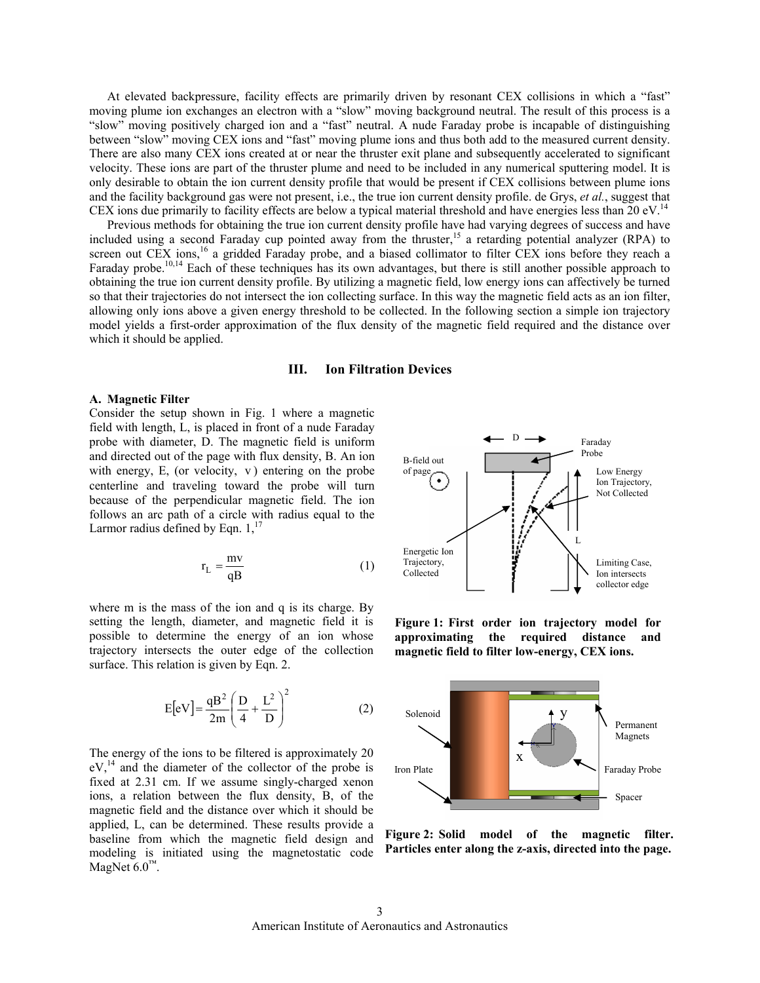At elevated backpressure, facility effects are primarily driven by resonant CEX collisions in which a "fast" moving plume ion exchanges an electron with a "slow" moving background neutral. The result of this process is a "slow" moving positively charged ion and a "fast" neutral. A nude Faraday probe is incapable of distinguishing between "slow" moving CEX ions and "fast" moving plume ions and thus both add to the measured current density. There are also many CEX ions created at or near the thruster exit plane and subsequently accelerated to significant velocity. These ions are part of the thruster plume and need to be included in any numerical sputtering model. It is only desirable to obtain the ion current density profile that would be present if CEX collisions between plume ions and the facility background gas were not present, i.e., the true ion current density profile. de Grys, *et al.*, suggest that CEX ions due primarily to facility effects are below a typical material threshold and have energies less than 20 eV.<sup>14</sup>

Previous methods for obtaining the true ion current density profile have had varying degrees of success and have included using a second Faraday cup pointed away from the thruster,<sup>15</sup> a retarding potential analyzer (RPA) to screen out CEX ions,<sup>16</sup> a gridded Faraday probe, and a biased collimator to filter CEX ions before they reach a Faraday probe.<sup>10,14</sup> Each of these techniques has its own advantages, but there is still another possible approach to obtaining the true ion current density profile. By utilizing a magnetic field, low energy ions can affectively be turned so that their trajectories do not intersect the ion collecting surface. In this way the magnetic field acts as an ion filter, allowing only ions above a given energy threshold to be collected. In the following section a simple ion trajectory model yields a first-order approximation of the flux density of the magnetic field required and the distance over which it should be applied.

# **III. Ion Filtration Devices**

## **A. Magnetic Filter**

Consider the setup shown in Fig. 1 where a magnetic field with length, L, is placed in front of a nude Faraday probe with diameter, D. The magnetic field is uniform and directed out of the page with flux density, B. An ion with energy,  $E$ , (or velocity,  $v$ ) entering on the probe centerline and traveling toward the probe will turn because of the perpendicular magnetic field. The ion follows an arc path of a circle with radius equal to the Larmor radius defined by Eqn.  $1,^{17}$ 

$$
r_{L} = \frac{mv}{qB}
$$
 (1)

where m is the mass of the ion and q is its charge. By setting the length, diameter, and magnetic field it is possible to determine the energy of an ion whose trajectory intersects the outer edge of the collection surface. This relation is given by Eqn. 2.

$$
E[eV] = \frac{qB^2}{2m} \left(\frac{D}{4} + \frac{L^2}{D}\right)^2
$$
 (2)

The energy of the ions to be filtered is approximately 20  $eV$ ,<sup>14</sup> and the diameter of the collector of the probe is fixed at 2.31 cm. If we assume singly-charged xenon ions, a relation between the flux density, B, of the magnetic field and the distance over which it should be applied, L, can be determined. These results provide a baseline from which the magnetic field design and modeling is initiated using the magnetostatic code MagNet  $6.0^{\text{m}}$ .



**Figure 1: First order ion trajectory model for approximating the required distance and magnetic field to filter low-energy, CEX ions.** 



**Figure 2: Solid model of the magnetic filter. Particles enter along the z-axis, directed into the page.**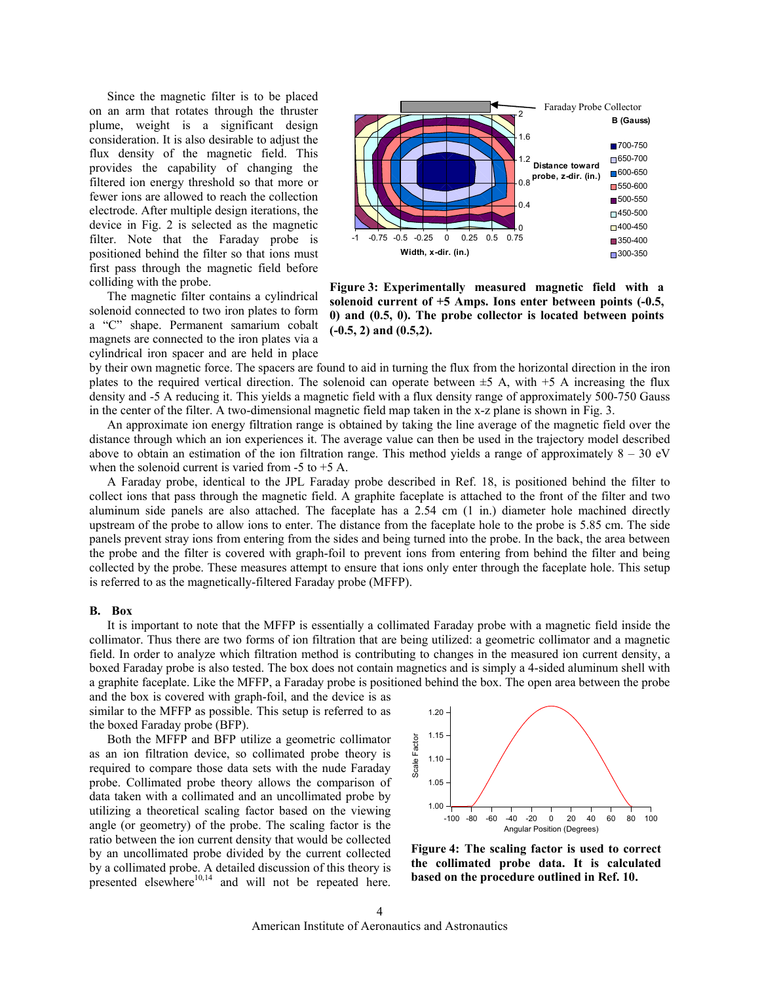Since the magnetic filter is to be placed on an arm that rotates through the thruster plume, weight is a significant design consideration. It is also desirable to adjust the flux density of the magnetic field. This provides the capability of changing the filtered ion energy threshold so that more or fewer ions are allowed to reach the collection electrode. After multiple design iterations, the device in Fig. 2 is selected as the magnetic filter. Note that the Faraday probe is positioned behind the filter so that ions must first pass through the magnetic field before colliding with the probe.

 The magnetic filter contains a cylindrical solenoid connected to two iron plates to form a "C" shape. Permanent samarium cobalt magnets are connected to the iron plates via a cylindrical iron spacer and are held in place



**Figure 3: Experimentally measured magnetic field with a solenoid current of +5 Amps. Ions enter between points (-0.5, 0) and (0.5, 0). The probe collector is located between points (-0.5, 2) and (0.5,2).** 

by their own magnetic force. The spacers are found to aid in turning the flux from the horizontal direction in the iron plates to the required vertical direction. The solenoid can operate between  $\pm$ 5 A, with +5 A increasing the flux density and -5 A reducing it. This yields a magnetic field with a flux density range of approximately 500-750 Gauss in the center of the filter. A two-dimensional magnetic field map taken in the x-z plane is shown in Fig. 3.

 An approximate ion energy filtration range is obtained by taking the line average of the magnetic field over the distance through which an ion experiences it. The average value can then be used in the trajectory model described above to obtain an estimation of the ion filtration range. This method yields a range of approximately  $8 - 30$  eV when the solenoid current is varied from -5 to +5 A.

 A Faraday probe, identical to the JPL Faraday probe described in Ref. 18, is positioned behind the filter to collect ions that pass through the magnetic field. A graphite faceplate is attached to the front of the filter and two aluminum side panels are also attached. The faceplate has a 2.54 cm (1 in.) diameter hole machined directly upstream of the probe to allow ions to enter. The distance from the faceplate hole to the probe is 5.85 cm. The side panels prevent stray ions from entering from the sides and being turned into the probe. In the back, the area between the probe and the filter is covered with graph-foil to prevent ions from entering from behind the filter and being collected by the probe. These measures attempt to ensure that ions only enter through the faceplate hole. This setup is referred to as the magnetically-filtered Faraday probe (MFFP).

## **B. Box**

 It is important to note that the MFFP is essentially a collimated Faraday probe with a magnetic field inside the collimator. Thus there are two forms of ion filtration that are being utilized: a geometric collimator and a magnetic field. In order to analyze which filtration method is contributing to changes in the measured ion current density, a boxed Faraday probe is also tested. The box does not contain magnetics and is simply a 4-sided aluminum shell with a graphite faceplate. Like the MFFP, a Faraday probe is positioned behind the box. The open area between the probe

and the box is covered with graph-foil, and the device is as similar to the MFFP as possible. This setup is referred to as the boxed Faraday probe (BFP).

Both the MFFP and BFP utilize a geometric collimator as an ion filtration device, so collimated probe theory is required to compare those data sets with the nude Faraday probe. Collimated probe theory allows the comparison of data taken with a collimated and an uncollimated probe by utilizing a theoretical scaling factor based on the viewing angle (or geometry) of the probe. The scaling factor is the ratio between the ion current density that would be collected by an uncollimated probe divided by the current collected by a collimated probe. A detailed discussion of this theory is presented elsewhere $^{10,14}$  and will not be repeated here.



**Figure 4: The scaling factor is used to correct the collimated probe data. It is calculated based on the procedure outlined in Ref. 10.**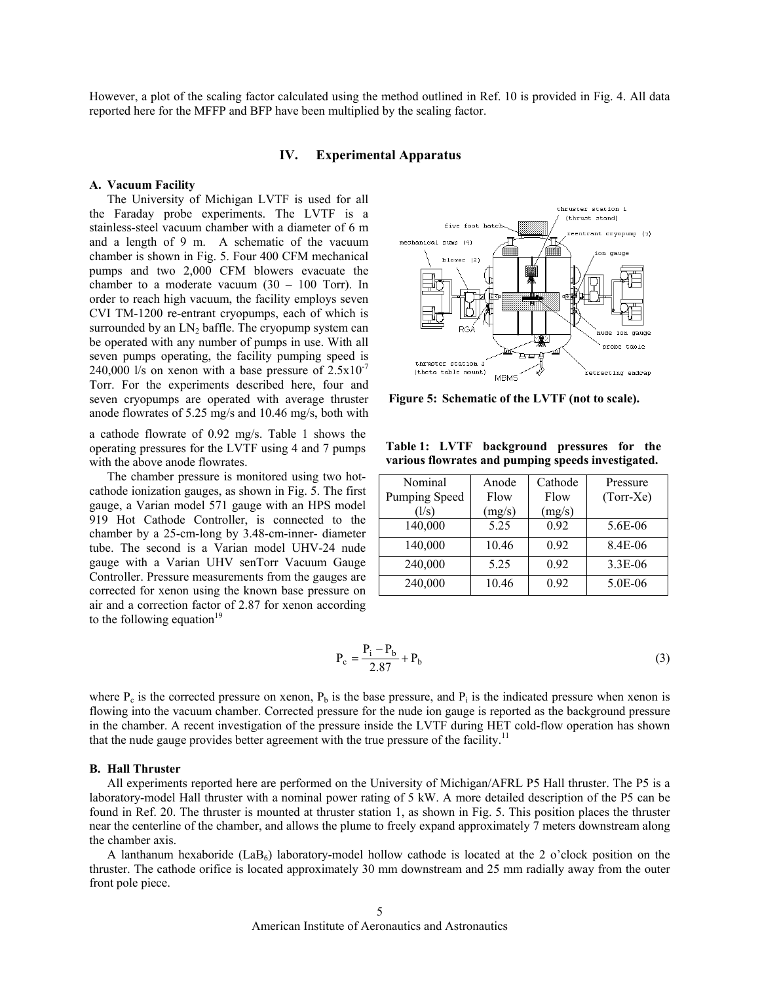However, a plot of the scaling factor calculated using the method outlined in Ref. 10 is provided in Fig. 4. All data reported here for the MFFP and BFP have been multiplied by the scaling factor.

# **IV. Experimental Apparatus**

## **A. Vacuum Facility**

 The University of Michigan LVTF is used for all the Faraday probe experiments. The LVTF is a stainless-steel vacuum chamber with a diameter of 6 m and a length of 9 m. A schematic of the vacuum chamber is shown in Fig. 5. Four 400 CFM mechanical pumps and two 2,000 CFM blowers evacuate the chamber to a moderate vacuum (30 – 100 Torr). In order to reach high vacuum, the facility employs seven CVI TM-1200 re-entrant cryopumps, each of which is surrounded by an  $LN_2$  baffle. The cryopump system can be operated with any number of pumps in use. With all seven pumps operating, the facility pumping speed is 240,000 l/s on xenon with a base pressure of  $2.5x10^{-7}$ Torr. For the experiments described here, four and seven cryopumps are operated with average thruster anode flowrates of 5.25 mg/s and 10.46 mg/s, both with

a cathode flowrate of 0.92 mg/s. Table 1 shows the operating pressures for the LVTF using 4 and 7 pumps with the above anode flowrates.

 The chamber pressure is monitored using two hotcathode ionization gauges, as shown in Fig. 5. The first gauge, a Varian model 571 gauge with an HPS model 919 Hot Cathode Controller, is connected to the chamber by a 25-cm-long by 3.48-cm-inner- diameter tube. The second is a Varian model UHV-24 nude gauge with a Varian UHV senTorr Vacuum Gauge Controller. Pressure measurements from the gauges are corrected for xenon using the known base pressure on air and a correction factor of 2.87 for xenon according to the following equation $19$ 



**Figure 5: Schematic of the LVTF (not to scale).**

**Table 1: LVTF background pressures for the various flowrates and pumping speeds investigated.** 

| Nominal              | Anode  | Cathode | Pressure    |
|----------------------|--------|---------|-------------|
| <b>Pumping Speed</b> | Flow   | Flow    | $(Torr-Xe)$ |
| (1/s)                | (mg/s) | (mg/s)  |             |
| 140,000              | 5.25   | 0.92    | 5.6E-06     |
| 140,000              | 10.46  | 0.92    | 8.4E-06     |
| 240,000              | 5.25   | 0.92    | 3.3E-06     |
| 240,000              | 10.46  | 0.92    | 5.0E-06     |

$$
P_c = \frac{P_i - P_b}{2.87} + P_b
$$
 (3)

where  $P_c$  is the corrected pressure on xenon,  $P_b$  is the base pressure, and  $P_i$  is the indicated pressure when xenon is flowing into the vacuum chamber. Corrected pressure for the nude ion gauge is reported as the background pressure in the chamber. A recent investigation of the pressure inside the LVTF during HET cold-flow operation has shown that the nude gauge provides better agreement with the true pressure of the facility.<sup>11</sup>

#### **B. Hall Thruster**

 All experiments reported here are performed on the University of Michigan/AFRL P5 Hall thruster. The P5 is a laboratory-model Hall thruster with a nominal power rating of 5 kW. A more detailed description of the P5 can be found in Ref. 20. The thruster is mounted at thruster station 1, as shown in Fig. 5. This position places the thruster near the centerline of the chamber, and allows the plume to freely expand approximately 7 meters downstream along the chamber axis.

A lanthanum hexaboride (LaB<sub>6</sub>) laboratory-model hollow cathode is located at the 2 o'clock position on the thruster. The cathode orifice is located approximately 30 mm downstream and 25 mm radially away from the outer front pole piece.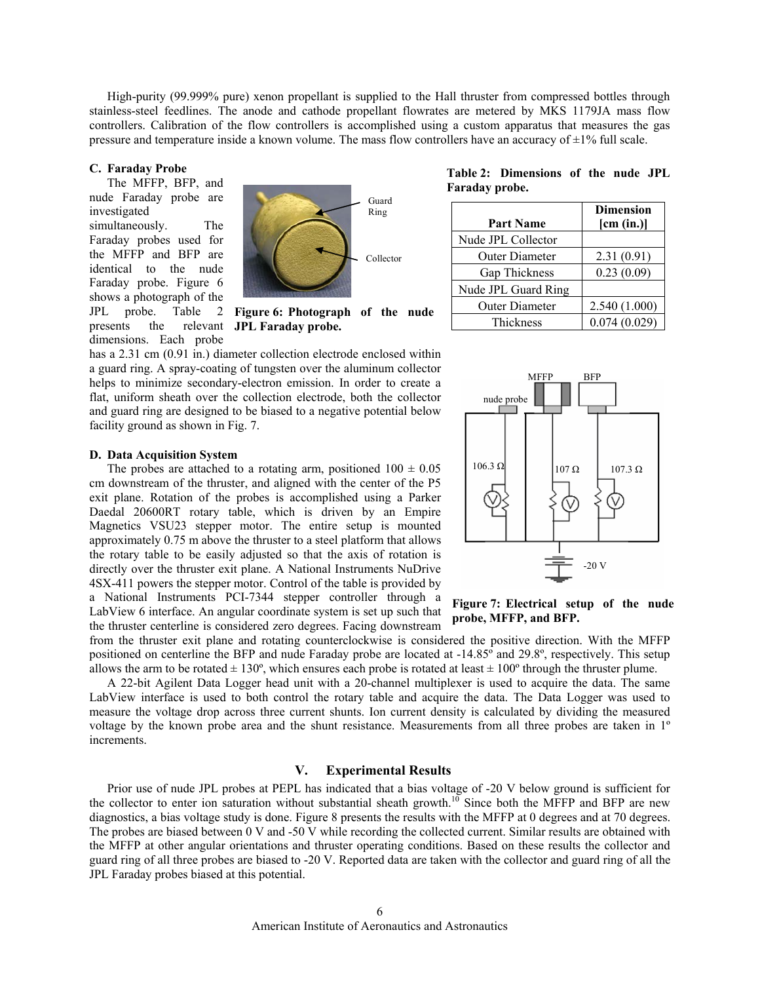High-purity (99.999% pure) xenon propellant is supplied to the Hall thruster from compressed bottles through stainless-steel feedlines. The anode and cathode propellant flowrates are metered by MKS 1179JA mass flow controllers. Calibration of the flow controllers is accomplished using a custom apparatus that measures the gas pressure and temperature inside a known volume. The mass flow controllers have an accuracy of  $\pm 1\%$  full scale.

## **C. Faraday Probe**

 The MFFP, BFP, and nude Faraday probe are investigated

simultaneously. The Faraday probes used for the MFFP and BFP are identical to the nude Faraday probe. Figure 6 shows a photograph of the JPL probe. Table 2 presents the relevant dimensions. Each probe



**Figure 6: Photograph of the nude JPL Faraday probe.** 

has a 2.31 cm (0.91 in.) diameter collection electrode enclosed within a guard ring. A spray-coating of tungsten over the aluminum collector helps to minimize secondary-electron emission. In order to create a flat, uniform sheath over the collection electrode, both the collector and guard ring are designed to be biased to a negative potential below facility ground as shown in Fig. 7.

**Table 2: Dimensions of the nude JPL Faraday probe.** 

| <b>Part Name</b>      | <b>Dimension</b><br>$[\text{cm (in.)}]$ |
|-----------------------|-----------------------------------------|
|                       |                                         |
| Nude JPL Collector    |                                         |
| <b>Outer Diameter</b> | 2.31(0.91)                              |
| Gap Thickness         | 0.23(0.09)                              |
| Nude JPL Guard Ring   |                                         |
| <b>Outer Diameter</b> | 2.540 (1.000)                           |
| <b>Thickness</b>      | 0.074(0.029)                            |



**Figure 7: Electrical setup of the nude** 

## **D. Data Acquisition System**

The probes are attached to a rotating arm, positioned  $100 \pm 0.05$ cm downstream of the thruster, and aligned with the center of the P5 exit plane. Rotation of the probes is accomplished using a Parker Daedal 20600RT rotary table, which is driven by an Empire Magnetics VSU23 stepper motor. The entire setup is mounted approximately 0.75 m above the thruster to a steel platform that allows the rotary table to be easily adjusted so that the axis of rotation is directly over the thruster exit plane. A National Instruments NuDrive 4SX-411 powers the stepper motor. Control of the table is provided by a National Instruments PCI-7344 stepper controller through a LabView 6 interface. An angular coordinate system is set up such that

the thruster centerline is considered zero degrees. Facing downstream from the thruster exit plane and rotating counterclockwise is considered the positive direction. With the MFFP **probe, MFFP, and BFP.** 

positioned on centerline the BFP and nude Faraday probe are located at -14.85º and 29.8º, respectively. This setup allows the arm to be rotated  $\pm 130^{\circ}$ , which ensures each probe is rotated at least  $\pm 100^{\circ}$  through the thruster plume.

A 22-bit Agilent Data Logger head unit with a 20-channel multiplexer is used to acquire the data. The same LabView interface is used to both control the rotary table and acquire the data. The Data Logger was used to measure the voltage drop across three current shunts. Ion current density is calculated by dividing the measured voltage by the known probe area and the shunt resistance. Measurements from all three probes are taken in 1º increments.

# **V. Experimental Results**

Prior use of nude JPL probes at PEPL has indicated that a bias voltage of -20 V below ground is sufficient for the collector to enter ion saturation without substantial sheath growth.<sup>10</sup> Since both the MFFP and BFP are new diagnostics, a bias voltage study is done. Figure 8 presents the results with the MFFP at 0 degrees and at 70 degrees. The probes are biased between 0 V and -50 V while recording the collected current. Similar results are obtained with the MFFP at other angular orientations and thruster operating conditions. Based on these results the collector and guard ring of all three probes are biased to -20 V. Reported data are taken with the collector and guard ring of all the JPL Faraday probes biased at this potential.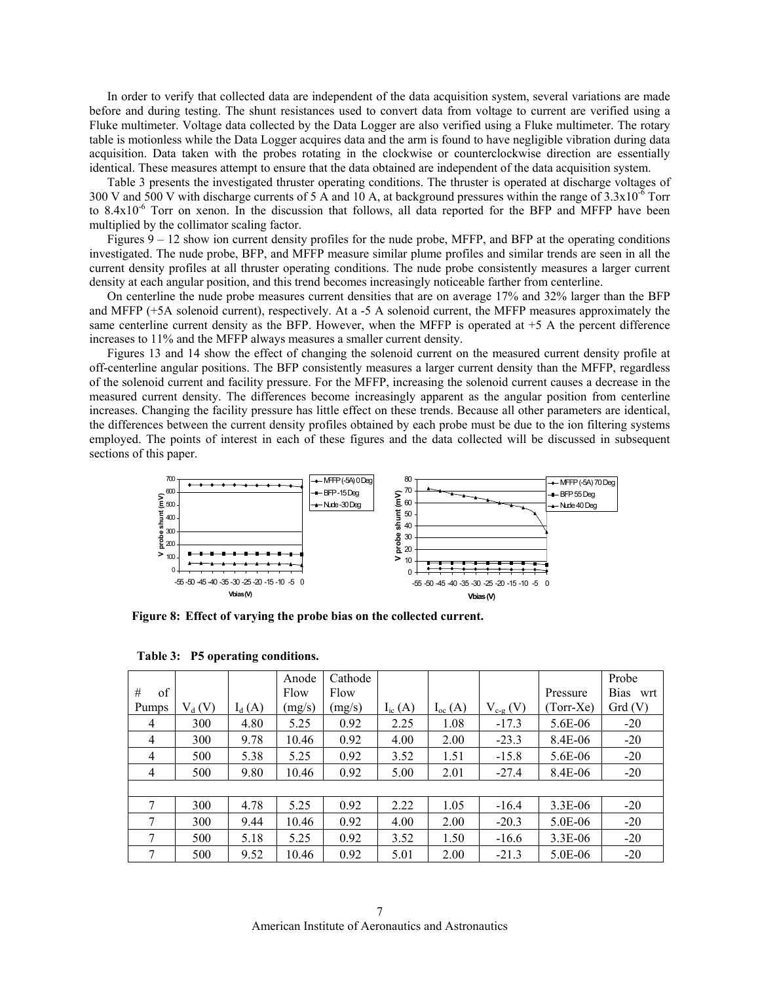In order to verify that collected data are independent of the data acquisition system, several variations are made before and during testing. The shunt resistances used to convert data from voltage to current are verified using a Fluke multimeter. Voltage data collected by the Data Logger are also verified using a Fluke multimeter. The rotary table is motionless while the Data Logger acquires data and the arm is found to have negligible vibration during data acquisition. Data taken with the probes rotating in the clockwise or counterclockwise direction are essentially identical. These measures attempt to ensure that the data obtained are independent of the data acquisition system.

Table 3 presents the investigated thruster operating conditions. The thruster is operated at discharge voltages of 300 V and 500 V with discharge currents of 5 A and 10 A, at background pressures within the range of  $3.3x10^{-6}$  Torr to 8.4x10<sup>-6</sup> Torr on xenon. In the discussion that follows, all data reported for the BFP and MFFP have been multiplied by the collimator scaling factor.

Figures 9 – 12 show ion current density profiles for the nude probe, MFFP, and BFP at the operating conditions investigated. The nude probe, BFP, and MFFP measure similar plume profiles and similar trends are seen in all the current density profiles at all thruster operating conditions. The nude probe consistently measures a larger current density at each angular position, and this trend becomes increasingly noticeable farther from centerline.

On centerline the nude probe measures current densities that are on average 17% and 32% larger than the BFP and MFFP (+5A solenoid current), respectively. At a -5 A solenoid current, the MFFP measures approximately the same centerline current density as the BFP. However, when the MFFP is operated at +5 A the percent difference increases to 11% and the MFFP always measures a smaller current density.

Figures 13 and 14 show the effect of changing the solenoid current on the measured current density profile at off-centerline angular positions. The BFP consistently measures a larger current density than the MFFP, regardless of the solenoid current and facility pressure. For the MFFP, increasing the solenoid current causes a decrease in the measured current density. The differences become increasingly apparent as the angular position from centerline increases. Changing the facility pressure has little effect on these trends. Because all other parameters are identical, the differences between the current density profiles obtained by each probe must be due to the ion filtering systems employed. The points of interest in each of these figures and the data collected will be discussed in subsequent sections of this paper.



**Figure 8: Effect of varying the probe bias on the collected current.**

|         |             |          | Anode  | Cathode |             |             |               |           | Probe              |
|---------|-------------|----------|--------|---------|-------------|-------------|---------------|-----------|--------------------|
| #<br>of |             |          | Flow   | Flow    |             |             |               | Pressure  | <b>Bias</b><br>wrt |
| Pumps   | $V_{d} (V)$ | $I_d(A)$ | (mg/s) | (mg/s)  | $I_{ic}(A)$ | $I_{oc}(A)$ | $V_{c-g} (V)$ | (Torr-Xe) | Grd(V)             |
| 4       | 300         | 4.80     | 5.25   | 0.92    | 2.25        | 1.08        | $-17.3$       | 5.6E-06   | $-20$              |
| 4       | 300         | 9.78     | 10.46  | 0.92    | 4.00        | 2.00        | $-23.3$       | 8.4E-06   | $-20$              |
| 4       | 500         | 5.38     | 5.25   | 0.92    | 3.52        | 1.51        | $-15.8$       | 5.6E-06   | $-20$              |
| 4       | 500         | 9.80     | 10.46  | 0.92    | 5.00        | 2.01        | $-27.4$       | 8.4E-06   | $-20$              |
|         |             |          |        |         |             |             |               |           |                    |
| 7       | 300         | 4.78     | 5.25   | 0.92    | 2.22        | 1.05        | $-16.4$       | 3.3E-06   | $-20$              |
| 7       | 300         | 9.44     | 10.46  | 0.92    | 4.00        | 2.00        | $-20.3$       | 5.0E-06   | $-20$              |
| 7       | 500         | 5.18     | 5.25   | 0.92    | 3.52        | 1.50        | $-16.6$       | $3.3E-06$ | $-20$              |
| 7       | 500         | 9.52     | 10.46  | 0.92    | 5.01        | 2.00        | $-21.3$       | 5.0E-06   | $-20$              |

**Table 3: P5 operating conditions.**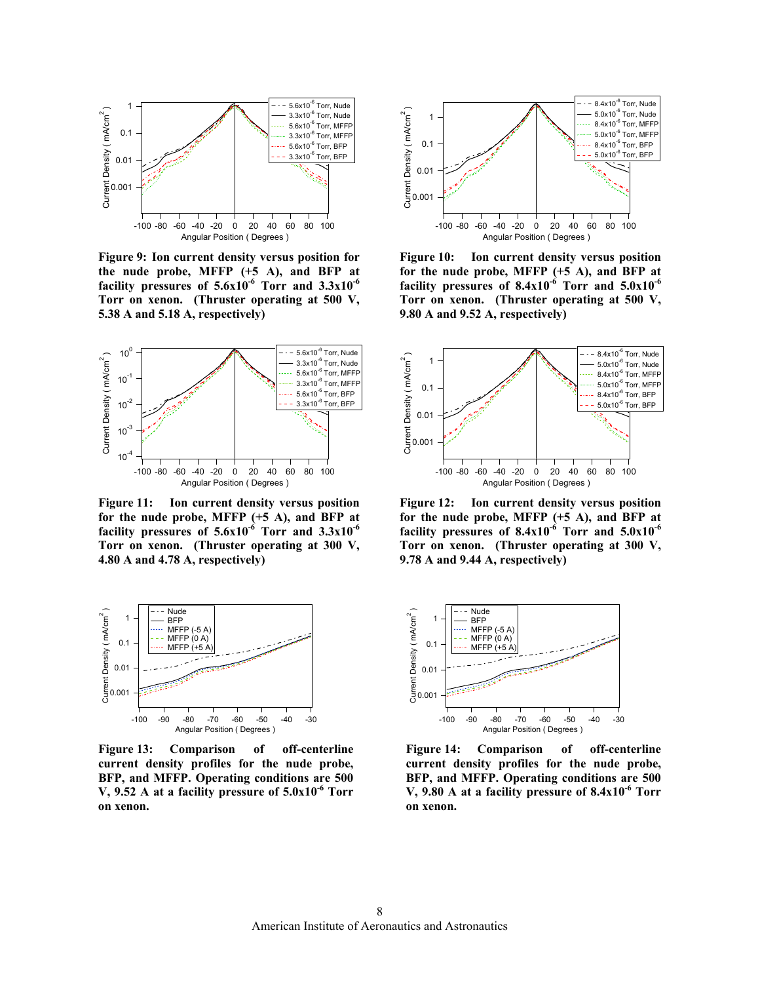

**Figure 9: Ion current density versus position for the nude probe, MFFP (+5 A), and BFP at**  facility pressures of  $5.6x10^{-6}$  Torr and  $3.3x10^{-6}$ **Torr on xenon. (Thruster operating at 500 V, 5.38 A and 5.18 A, respectively)**



**Figure 11: Ion current density versus position for the nude probe, MFFP (+5 A), and BFP at facility pressures of 5.6x10-6 Torr and 3.3x10-6 Torr on xenon. (Thruster operating at 300 V, 4.80 A and 4.78 A, respectively)**



**Figure 13: Comparison of off-centerline current density profiles for the nude probe, BFP, and MFFP. Operating conditions are 500 V, 9.52 A at a facility pressure of 5.0x10-6 Torr on xenon.** 



**Figure 10: Ion current density versus position for the nude probe, MFFP (+5 A), and BFP at**  facility pressures of  $8.4x10^{-6}$  Torr and  $5.0x10^{-6}$ **Torr on xenon. (Thruster operating at 500 V, 9.80 A and 9.52 A, respectively)**



**Figure 12: Ion current density versus position for the nude probe, MFFP (+5 A), and BFP at facility pressures of 8.4x10-6 Torr and 5.0x10-6 Torr on xenon. (Thruster operating at 300 V, 9.78 A and 9.44 A, respectively)**



**Figure 14: Comparison of off-centerline current density profiles for the nude probe, BFP, and MFFP. Operating conditions are 500 V, 9.80 A at a facility pressure of 8.4x10-6 Torr on xenon.**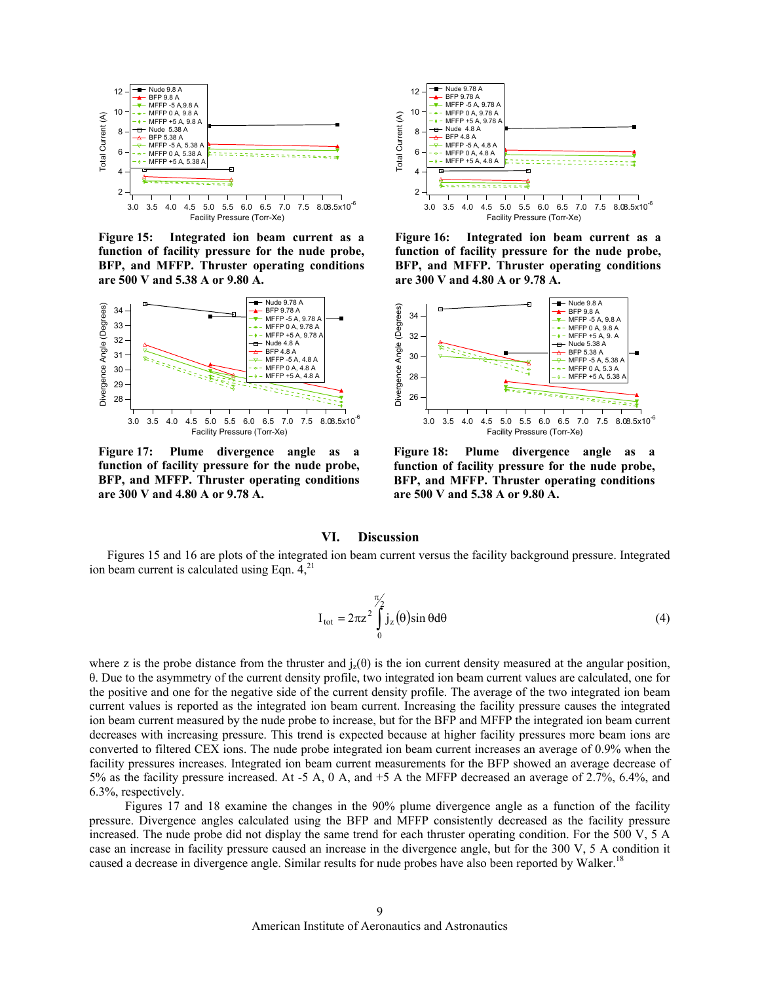

**Figure 15: Integrated ion beam current as a function of facility pressure for the nude probe, BFP, and MFFP. Thruster operating conditions are 500 V and 5.38 A or 9.80 A.** 



**Figure 17: Plume divergence angle as a function of facility pressure for the nude probe, BFP, and MFFP. Thruster operating conditions are 300 V and 4.80 A or 9.78 A.** 



**Figure 16: Integrated ion beam current as a function of facility pressure for the nude probe, BFP, and MFFP. Thruster operating conditions are 300 V and 4.80 A or 9.78 A.** 



**Figure 18: Plume divergence angle as a function of facility pressure for the nude probe, BFP, and MFFP. Thruster operating conditions are 500 V and 5.38 A or 9.80 A.** 

#### **VI. Discussion**

Figures 15 and 16 are plots of the integrated ion beam current versus the facility background pressure. Integrated ion beam current is calculated using Eqn.  $4<sup>21</sup>$ 

$$
I_{\text{tot}} = 2\pi z^2 \int_{0}^{\frac{\pi}{2}} j_z(\theta) \sin \theta d\theta \tag{4}
$$

where z is the probe distance from the thruster and  $j_z(\theta)$  is the ion current density measured at the angular position, θ. Due to the asymmetry of the current density profile, two integrated ion beam current values are calculated, one for the positive and one for the negative side of the current density profile. The average of the two integrated ion beam current values is reported as the integrated ion beam current. Increasing the facility pressure causes the integrated ion beam current measured by the nude probe to increase, but for the BFP and MFFP the integrated ion beam current decreases with increasing pressure. This trend is expected because at higher facility pressures more beam ions are converted to filtered CEX ions. The nude probe integrated ion beam current increases an average of 0.9% when the facility pressures increases. Integrated ion beam current measurements for the BFP showed an average decrease of 5% as the facility pressure increased. At -5 A, 0 A, and +5 A the MFFP decreased an average of 2.7%, 6.4%, and 6.3%, respectively.

 Figures 17 and 18 examine the changes in the 90% plume divergence angle as a function of the facility pressure. Divergence angles calculated using the BFP and MFFP consistently decreased as the facility pressure increased. The nude probe did not display the same trend for each thruster operating condition. For the 500 V, 5 A case an increase in facility pressure caused an increase in the divergence angle, but for the 300 V, 5 A condition it caused a decrease in divergence angle. Similar results for nude probes have also been reported by Walker.<sup>18</sup>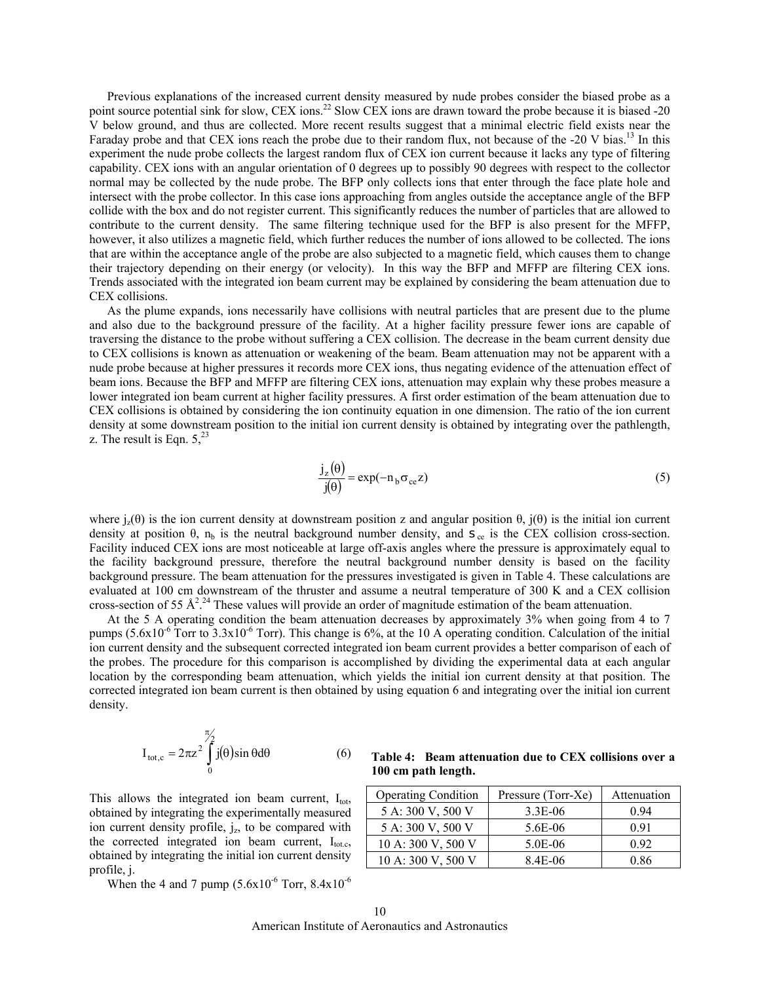Previous explanations of the increased current density measured by nude probes consider the biased probe as a point source potential sink for slow, CEX ions.<sup>22</sup> Slow CEX ions are drawn toward the probe because it is biased -20 V below ground, and thus are collected. More recent results suggest that a minimal electric field exists near the Faraday probe and that CEX ions reach the probe due to their random flux, not because of the -20 V bias.<sup>13</sup> In this experiment the nude probe collects the largest random flux of CEX ion current because it lacks any type of filtering capability. CEX ions with an angular orientation of 0 degrees up to possibly 90 degrees with respect to the collector normal may be collected by the nude probe. The BFP only collects ions that enter through the face plate hole and intersect with the probe collector. In this case ions approaching from angles outside the acceptance angle of the BFP collide with the box and do not register current. This significantly reduces the number of particles that are allowed to contribute to the current density. The same filtering technique used for the BFP is also present for the MFFP, however, it also utilizes a magnetic field, which further reduces the number of ions allowed to be collected. The ions that are within the acceptance angle of the probe are also subjected to a magnetic field, which causes them to change their trajectory depending on their energy (or velocity). In this way the BFP and MFFP are filtering CEX ions. Trends associated with the integrated ion beam current may be explained by considering the beam attenuation due to CEX collisions.

As the plume expands, ions necessarily have collisions with neutral particles that are present due to the plume and also due to the background pressure of the facility. At a higher facility pressure fewer ions are capable of traversing the distance to the probe without suffering a CEX collision. The decrease in the beam current density due to CEX collisions is known as attenuation or weakening of the beam. Beam attenuation may not be apparent with a nude probe because at higher pressures it records more CEX ions, thus negating evidence of the attenuation effect of beam ions. Because the BFP and MFFP are filtering CEX ions, attenuation may explain why these probes measure a lower integrated ion beam current at higher facility pressures. A first order estimation of the beam attenuation due to CEX collisions is obtained by considering the ion continuity equation in one dimension. The ratio of the ion current density at some downstream position to the initial ion current density is obtained by integrating over the pathlength, z. The result is Eqn.  $5<sup>23</sup>$ 

$$
\frac{j_z(\theta)}{j(\theta)} = \exp(-n_b \sigma_{ce} z)
$$
 (5)

where  $j_z(\theta)$  is the ion current density at downstream position z and angular position  $\theta$ ,  $j(\theta)$  is the initial ion current density at position  $\theta$ ,  $n_b$  is the neutral background number density, and  $S_{ce}$  is the CEX collision cross-section. Facility induced CEX ions are most noticeable at large off-axis angles where the pressure is approximately equal to the facility background pressure, therefore the neutral background number density is based on the facility background pressure. The beam attenuation for the pressures investigated is given in Table 4. These calculations are evaluated at 100 cm downstream of the thruster and assume a neutral temperature of 300 K and a CEX collision cross-section of 55  $A^{2,24}$  These values will provide an order of magnitude estimation of the beam attenuation.

At the 5 A operating condition the beam attenuation decreases by approximately 3% when going from 4 to 7 pumps (5.6x10<sup>-6</sup> Torr to 3.3x10<sup>-6</sup> Torr). This change is 6%, at the 10 A operating condition. Calculation of the initial ion current density and the subsequent corrected integrated ion beam current provides a better comparison of each of the probes. The procedure for this comparison is accomplished by dividing the experimental data at each angular location by the corresponding beam attenuation, which yields the initial ion current density at that position. The corrected integrated ion beam current is then obtained by using equation 6 and integrating over the initial ion current density.

$$
I_{\text{tot,c}} = 2\pi z^2 \int_{0}^{\frac{\pi}{2}} j(\theta) \sin \theta d\theta \tag{6}
$$

| Table 4: Beam attenuation due to CEX collisions over a |  |  |
|--------------------------------------------------------|--|--|
| 100 cm path length.                                    |  |  |

This allows the integrated ion beam current,  $I_{\text{tot}}$ , obtained by integrating the experimentally measured ion current density profile,  $j_z$ , to be compared with the corrected integrated ion beam current,  $I_{tot,c}$ , obtained by integrating the initial ion current density profile, j.

Operating Condition | Pressure (Torr-Xe) | Attenuation 5 A: 300 V, 500 V 3.3E-06 0.94 5 A: 300 V, 500 V 5.6E-06 0.91 10 A: 300 V, 500 V 5.0E-06 0.92

10 A: 300 V, 500 V 8.4E-06 0.86

When the 4 and 7 pump  $(5.6x10^{-6}$  Torr,  $8.4x10^{-6}$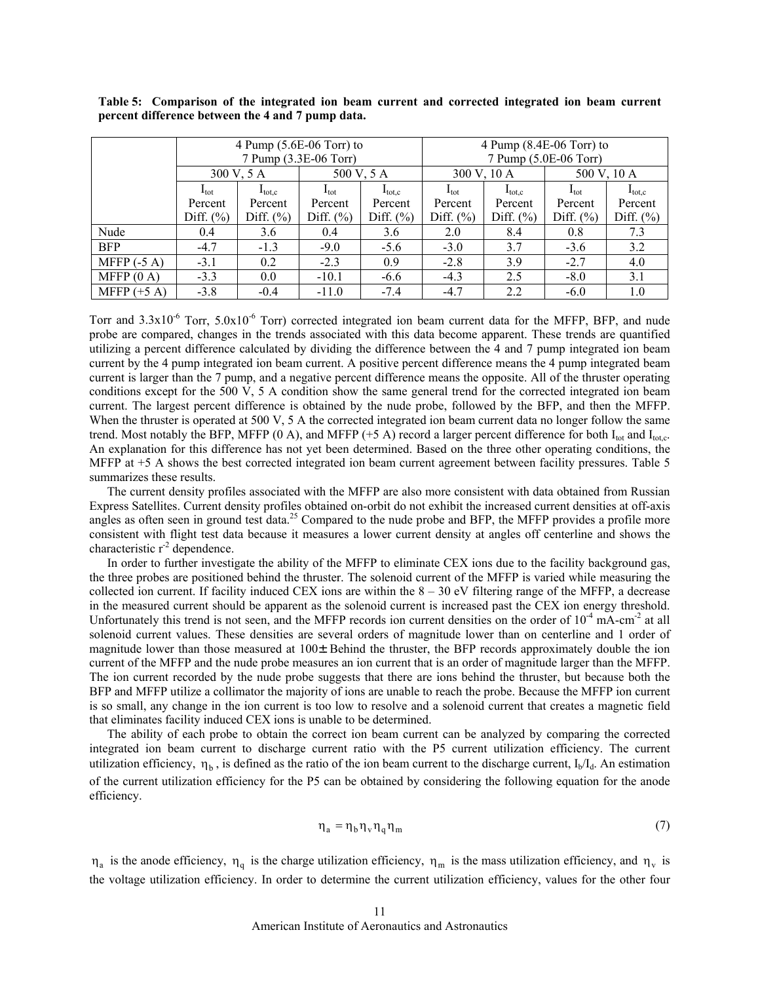|               |                  | 4 Pump $(5.6E-06$ Torr) to |                       |                    | 4 Pump $(8.4E-06$ Torr) to |                    |                  |                    |
|---------------|------------------|----------------------------|-----------------------|--------------------|----------------------------|--------------------|------------------|--------------------|
|               |                  |                            | 7 Pump (3.3E-06 Torr) |                    | 7 Pump (5.0E-06 Torr)      |                    |                  |                    |
|               |                  | 300 V, 5 A                 | 500 V, 5 A            |                    | 300 V, 10 A                |                    | 500 V, 10 A      |                    |
|               | $I_{\text{tot}}$ | $I_{\text{tot.c}}$         | $I_{\text{tot}}$      | $I_{\text{tot},c}$ | $I_{\text{tot}}$           | $I_{\text{tot},c}$ | $I_{\text{tot}}$ | $I_{\text{tot},c}$ |
|               | Percent          | Percent                    | Percent               | Percent            | Percent                    | Percent            | Percent          | Percent            |
|               | Diff. $(\% )$    | Diff. $(\% )$              | Diff. $(\% )$         | Diff. $(\% )$      | Diff. $(\% )$              | Diff. $(\% )$      | Diff. $(\% )$    | Diff. $(\% )$      |
| Nude          | 0.4              | 3.6                        | 0.4                   | 3.6                | 2.0                        | 8.4                | 0.8              | 7.3                |
| <b>BFP</b>    | $-4.7$           | $-1.3$                     | $-9.0$                | $-5.6$             | $-3.0$                     | 3.7                | $-3.6$           | 3.2                |
| MFFP $(-5 A)$ | $-3.1$           | 0.2                        | $-2.3$                | 0.9                | $-2.8$                     | 3.9                | $-2.7$           | 4.0                |
| MFFP $(0 A)$  | $-3.3$           | 0.0                        | $-10.1$               | $-6.6$             | $-4.3$                     | 2.5                | $-8.0$           | 3.1                |
| MFFP $(+5 A)$ | $-3.8$           | $-0.4$                     | $-11.0$               | $-7.4$             | $-4.7$                     | 2.2                | $-6.0$           | 1.0                |

**Table 5: Comparison of the integrated ion beam current and corrected integrated ion beam current percent difference between the 4 and 7 pump data.** 

Torr and  $3.3x10^{-6}$  Torr,  $5.0x10^{-6}$  Torr) corrected integrated ion beam current data for the MFFP, BFP, and nude probe are compared, changes in the trends associated with this data become apparent. These trends are quantified utilizing a percent difference calculated by dividing the difference between the 4 and 7 pump integrated ion beam current by the 4 pump integrated ion beam current. A positive percent difference means the 4 pump integrated beam current is larger than the 7 pump, and a negative percent difference means the opposite. All of the thruster operating conditions except for the 500 V, 5 A condition show the same general trend for the corrected integrated ion beam current. The largest percent difference is obtained by the nude probe, followed by the BFP, and then the MFFP. When the thruster is operated at 500 V, 5 A the corrected integrated ion beam current data no longer follow the same trend. Most notably the BFP, MFFP (0 A), and MFFP (+5 A) record a larger percent difference for both  $I_{tot}$  and  $I_{totc}$ . An explanation for this difference has not yet been determined. Based on the three other operating conditions, the MFFP at +5 A shows the best corrected integrated ion beam current agreement between facility pressures. Table 5 summarizes these results.

The current density profiles associated with the MFFP are also more consistent with data obtained from Russian Express Satellites. Current density profiles obtained on-orbit do not exhibit the increased current densities at off-axis angles as often seen in ground test data.<sup>25</sup> Compared to the nude probe and BFP, the MFFP provides a profile more consistent with flight test data because it measures a lower current density at angles off centerline and shows the characteristic r-2 dependence.

In order to further investigate the ability of the MFFP to eliminate CEX ions due to the facility background gas, the three probes are positioned behind the thruster. The solenoid current of the MFFP is varied while measuring the collected ion current. If facility induced CEX ions are within the  $8 - 30$  eV filtering range of the MFFP, a decrease in the measured current should be apparent as the solenoid current is increased past the CEX ion energy threshold. Unfortunately this trend is not seen, and the MFFP records ion current densities on the order of  $10^{-4}$  mA-cm<sup>-2</sup> at all solenoid current values. These densities are several orders of magnitude lower than on centerline and 1 order of magnitude lower than those measured at 100±. Behind the thruster, the BFP records approximately double the ion current of the MFFP and the nude probe measures an ion current that is an order of magnitude larger than the MFFP. The ion current recorded by the nude probe suggests that there are ions behind the thruster, but because both the BFP and MFFP utilize a collimator the majority of ions are unable to reach the probe. Because the MFFP ion current is so small, any change in the ion current is too low to resolve and a solenoid current that creates a magnetic field that eliminates facility induced CEX ions is unable to be determined.

The ability of each probe to obtain the correct ion beam current can be analyzed by comparing the corrected integrated ion beam current to discharge current ratio with the P5 current utilization efficiency. The current utilization efficiency,  $\eta_b$ , is defined as the ratio of the ion beam current to the discharge current,  $I_b/I_d$ . An estimation of the current utilization efficiency for the P5 can be obtained by considering the following equation for the anode efficiency.

$$
\eta_a = \eta_b \eta_v \eta_q \eta_m \tag{7}
$$

 $\eta_a$  is the anode efficiency,  $\eta_a$  is the charge utilization efficiency,  $\eta_m$  is the mass utilization efficiency, and  $\eta_v$  is the voltage utilization efficiency. In order to determine the current utilization efficiency, values for the other four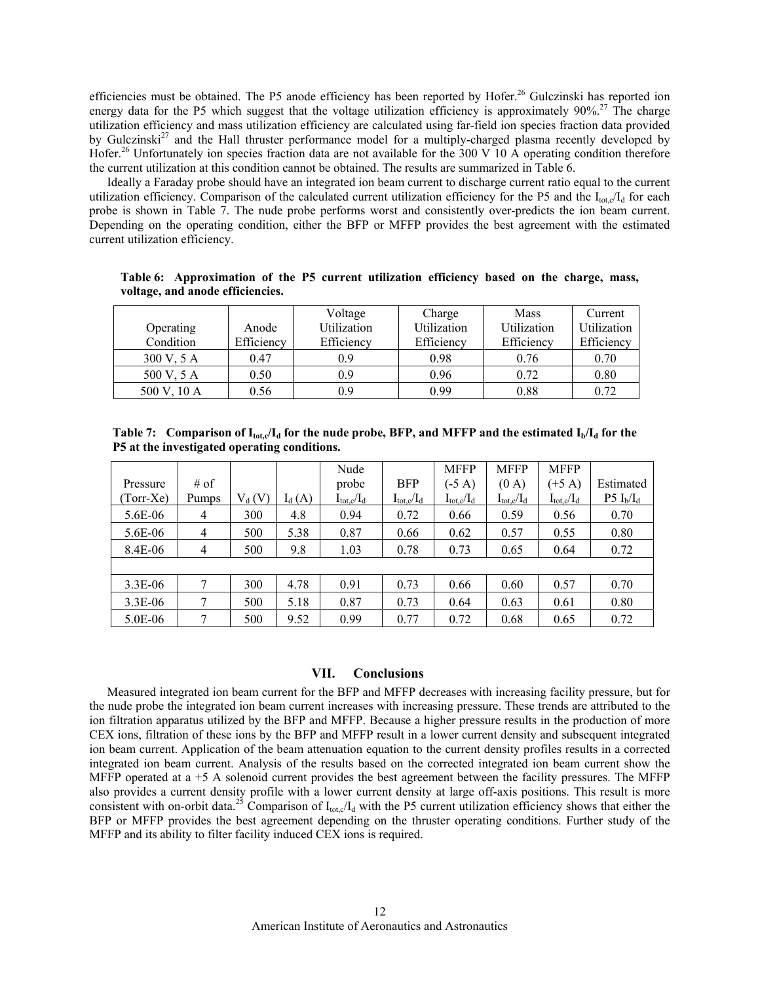efficiencies must be obtained. The P5 anode efficiency has been reported by Hofer.<sup>26</sup> Gulczinski has reported ion energy data for the P5 which suggest that the voltage utilization efficiency is approximately 90%.<sup>27</sup> The charge utilization efficiency and mass utilization efficiency are calculated using far-field ion species fraction data provided by Gulczinski<sup>27</sup> and the Hall thruster performance model for a multiply-charged plasma recently developed by Hofer.<sup>26</sup> Unfortunately ion species fraction data are not available for the 300 V 10 A operating condition therefore the current utilization at this condition cannot be obtained. The results are summarized in Table 6.

 Ideally a Faraday probe should have an integrated ion beam current to discharge current ratio equal to the current utilization efficiency. Comparison of the calculated current utilization efficiency for the P5 and the  $I_{tot} / I_d$  for each probe is shown in Table 7. The nude probe performs worst and consistently over-predicts the ion beam current. Depending on the operating condition, either the BFP or MFFP provides the best agreement with the estimated current utilization efficiency.

| Operating   | Anode      | Voltage<br>Utilization | Charge<br>Utilization | Mass<br>Utilization | Current<br>Utilization |
|-------------|------------|------------------------|-----------------------|---------------------|------------------------|
| Condition   | Efficiency | Efficiency             | Efficiency            | Efficiency          | Efficiency             |
| 300 V, 5 A  | 0.47       | 0.9                    | 0.98                  | 0.76                | 0.70                   |
| 500 V, 5 A  | 0.50       | 0.9                    | 0.96                  | 0.72                | 0.80                   |
| 500 V, 10 A | 0.56       | 0.9                    | 0.99                  | 0.88                | 0.72                   |

**Table 6: Approximation of the P5 current utilization efficiency based on the charge, mass, voltage, and anode efficiencies.** 

**Table 7:** Comparison of  $I_{tot,c}/I_d$  for the nude probe, BFP, and MFFP and the estimated  $I_b/I_d$  for the **P5 at the investigated operating conditions.** 

|           |                |                         |          | Nude                            |                                 | <b>MFFP</b>                     | <b>MFFP</b>                     | <b>MFFP</b>                     |              |
|-----------|----------------|-------------------------|----------|---------------------------------|---------------------------------|---------------------------------|---------------------------------|---------------------------------|--------------|
| Pressure  | $#$ of         |                         |          | probe                           | <b>BFP</b>                      | $(-5 \text{ A})$                | $(0 \text{ A})$                 | $(+5 \text{ A})$                | Estimated    |
| (Torr-Xe) | <b>Pumps</b>   | $\rm V_d\left(V\right)$ | $I_d(A)$ | $I_{\text{tot,c}}/I_{\text{d}}$ | $I_{\text{tot,c}}/I_{\text{d}}$ | $I_{\text{tot,c}}/I_{\text{d}}$ | $I_{\text{tot,c}}/I_{\text{d}}$ | $I_{\text{tot,c}}/I_{\text{d}}$ | $P5 I_b/I_d$ |
| 5.6E-06   | 4              | 300                     | 4.8      | 0.94                            | 0.72                            | 0.66                            | 0.59                            | 0.56                            | 0.70         |
| 5.6E-06   | $\overline{4}$ | 500                     | 5.38     | 0.87                            | 0.66                            | 0.62                            | 0.57                            | 0.55                            | 0.80         |
| 8.4E-06   | $\overline{4}$ | 500                     | 9.8      | 1.03                            | 0.78                            | 0.73                            | 0.65                            | 0.64                            | 0.72         |
|           |                |                         |          |                                 |                                 |                                 |                                 |                                 |              |
| $3.3E-06$ |                | 300                     | 4.78     | 0.91                            | 0.73                            | 0.66                            | 0.60                            | 0.57                            | 0.70         |
| $3.3E-06$ | 7              | 500                     | 5.18     | 0.87                            | 0.73                            | 0.64                            | 0.63                            | 0.61                            | 0.80         |
| 5.0E-06   | 7              | 500                     | 9.52     | 0.99                            | 0.77                            | 0.72                            | 0.68                            | 0.65                            | 0.72         |

## **VII. Conclusions**

Measured integrated ion beam current for the BFP and MFFP decreases with increasing facility pressure, but for the nude probe the integrated ion beam current increases with increasing pressure. These trends are attributed to the ion filtration apparatus utilized by the BFP and MFFP. Because a higher pressure results in the production of more CEX ions, filtration of these ions by the BFP and MFFP result in a lower current density and subsequent integrated ion beam current. Application of the beam attenuation equation to the current density profiles results in a corrected integrated ion beam current. Analysis of the results based on the corrected integrated ion beam current show the MFFP operated at a +5 A solenoid current provides the best agreement between the facility pressures. The MFFP also provides a current density profile with a lower current density at large off-axis positions. This result is more consistent with on-orbit data.<sup>25</sup> Comparison of  $I_{tot,c}/I_d$  with the P5 current utilization efficiency shows that either the BFP or MFFP provides the best agreement depending on the thruster operating conditions. Further study of the MFFP and its ability to filter facility induced CEX ions is required.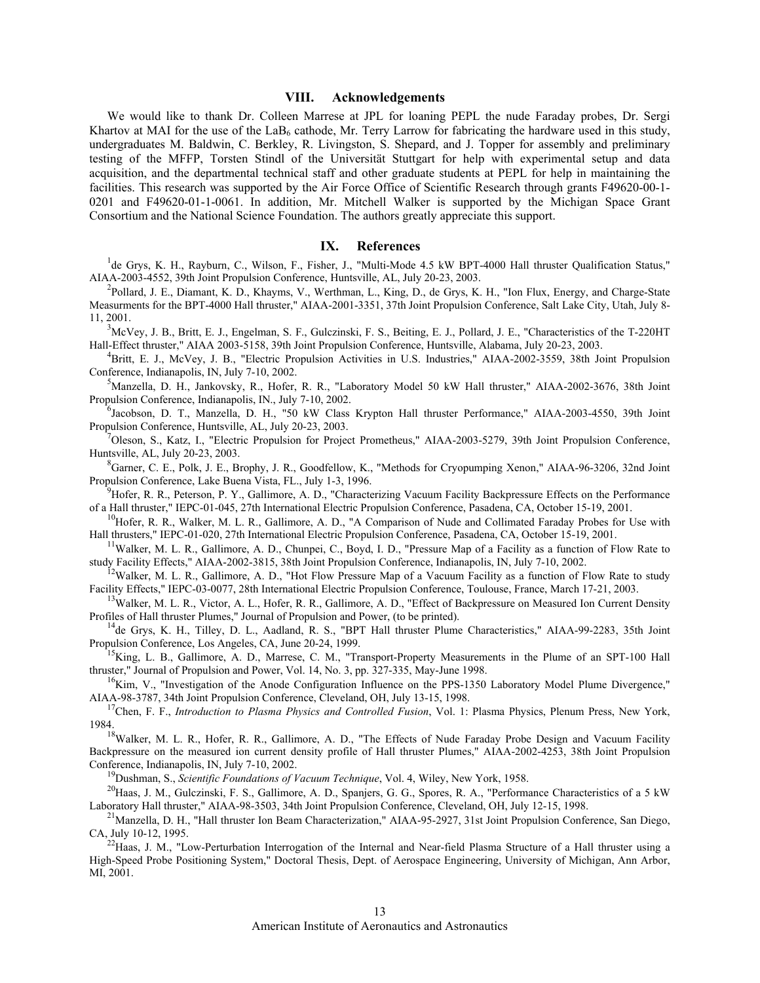## **VIII. Acknowledgements**

 We would like to thank Dr. Colleen Marrese at JPL for loaning PEPL the nude Faraday probes, Dr. Sergi Khartov at MAI for the use of the  $\text{LaB}_6$  cathode, Mr. Terry Larrow for fabricating the hardware used in this study, undergraduates M. Baldwin, C. Berkley, R. Livingston, S. Shepard, and J. Topper for assembly and preliminary testing of the MFFP, Torsten Stindl of the Universität Stuttgart for help with experimental setup and data acquisition, and the departmental technical staff and other graduate students at PEPL for help in maintaining the facilities. This research was supported by the Air Force Office of Scientific Research through grants F49620-00-1- 0201 and F49620-01-1-0061. In addition, Mr. Mitchell Walker is supported by the Michigan Space Grant Consortium and the National Science Foundation. The authors greatly appreciate this support.

## **IX. References**

<sup>1</sup>de Grys, K. H., Rayburn, C., Wilson, F., Fisher, J., "Multi-Mode 4.5 kW BPT-4000 Hall thruster Qualification Status," AIAA-2003-4552, 39th Joint Propulsion Conference, Huntsville, AL, July 20-23, 2003. 2

<sup>2</sup>Pollard, J. E., Diamant, K. D., Khayms, V., Werthman, L., King, D., de Grys, K. H., "Ion Flux, Energy, and Charge-State Measurments for the BPT-4000 Hall thruster," AIAA-2001-3351, 37th Joint Propulsion Conference, Salt Lake City, Utah, July 8- 11, 2001. 3

McVey, J. B., Britt, E. J., Engelman, S. F., Gulczinski, F. S., Beiting, E. J., Pollard, J. E., "Characteristics of the T-220HT Hall-Effect thruster," AIAA 2003-5158, 39th Joint Propulsion Conference, Huntsville, Alabama, July 20-23, 2003. 4

Britt, E. J., McVey, J. B., "Electric Propulsion Activities in U.S. Industries," AIAA-2002-3559, 38th Joint Propulsion Conference, Indianapolis, IN, July 7-10, 2002.

 $^5$ Manzella, D. H., Jankovsky, R., Hofer, R. R., "Laboratory Model 50 kW Hall thruster," AIAA-2002-3676, 38th Joint Propulsion Conference, Indianapolis, IN., July 7-10, 2002.

<sup>6</sup>Jacobson, D. T., Manzella, D. H., "50 kW Class Krypton Hall thruster Performance," AIAA-2003-4550, 39th Joint Propulsion Conference, Huntsville, AL, July 20-23, 2003.

Oleson, S., Katz, I., "Electric Propulsion for Project Prometheus," AIAA-2003-5279, 39th Joint Propulsion Conference, Huntsville, AL, July 20-23, 2003. 8

 ${}^{8}$ Garner, C. E., Polk, J. E., Brophy, J. R., Goodfellow, K., "Methods for Cryopumping Xenon," AIAA-96-3206, 32nd Joint Propulsion Conference, Lake Buena Vista, FL., July 1-3, 1996.

<sup>9</sup>Hofer, R. R., Peterson, P. Y., Gallimore, A. D., "Characterizing Vacuum Facility Backpressure Effects on the Performance of a Hall thruster." IEPC-01-045, 27th International Electric Propulsion Conference, Pasadena, CA

<sup>10</sup>Hofer, R. R., Walker, M. L. R., Gallimore, A. D., "A Comparison of Nude and Collimated Faraday Probes for Use with

Hall thrusters," IEPC-01-020, 27th International Electric Propulsion Conference, Pasadena, CA, October 15-19, 2001.<br><sup>11</sup>Walker, M. L. R., Gallimore, A. D., Chunpei, C., Boyd, I. D., "Pressure Map of a Facility as a functio

<sup>12</sup>Walker, M. L. R., Gallimore, A. D., "Hot Flow Pressure Map of a Vacuum Facility as a function of Flow Rate to study Facility Effects," IEPC-03-0077, 28th International Electric Propulsion Conference, Toulouse, France,

 $^{13}$ Walker, M. L. R., Victor, A. L., Hofer, R. R., Gallimore, A. D., "Effect of Backpressure on Measured Ion Current Density Profiles of Hall thruster Plumes," Journal of Propulsion and Power, (to be printed).

<sup>14</sup>de Grys, K. H., Tilley, D. L., Aadland, R. S., "BPT Hall thruster Plume Characteristics," AIAA-99-2283, 35th Joint Propulsion Conference, Los Angeles, CA, June 20-24, 1999.

<sup>15</sup>King, L. B., Gallimore, A. D., Marrese, C. M., "Transport-Property Measurements in the Plume of an SPT-100 Hall thruster," Journal of Propulsion and Power, Vol. 14, No. 3, pp. 327-335, May-June 1998.

<sup>16</sup>Kim, V., "Investigation of the Anode Configuration Influence on the PPS-1350 Laboratory Model Plume Divergence,"<br>AIAA-98-3787, 34th Joint Propulsion Conference, Cleveland, OH, July 13-15, 1998.

<sup>17</sup>Chen, F. F., *Introduction to Plasma Physics and Controlled Fusion*, Vol. 1: Plasma Physics, Plenum Press, New York, 1984.<br><sup>18</sup>Walker, M. L. R., Hofer, R. R., Gallimore, A. D., "The Effects of Nude Faraday Probe Design and Vacuum Facility

Backpressure on the measured ion current density profile of Hall thruster Plumes," AIAA-2002-4253, 38th Joint Propulsion

Conference, Indianapolis, IN, July 7-10, 2002.<br><sup>19</sup>Dushman, S., *Scientific Foundations of Vacuum Technique*, Vol. 4, Wiley, New York, 1958.<br><sup>20</sup>Haas, J. M., Gulczinski, F. S., Gallimore, A. D., Spanjers, G. G., Spores, R.

<sup>21</sup>Manzella, D. H., "Hall thruster Ion Beam Characterization," AIAA-95-2927, 31st Joint Propulsion Conference, San Diego, CA, July 10-12, 1995. 22Haas, J. M., "Low-Perturbation Interrogation of the Internal and Near-field Plasma Structure of a Hall thruster using a

High-Speed Probe Positioning System," Doctoral Thesis, Dept. of Aerospace Engineering, University of Michigan, Ann Arbor, MI, 2001.